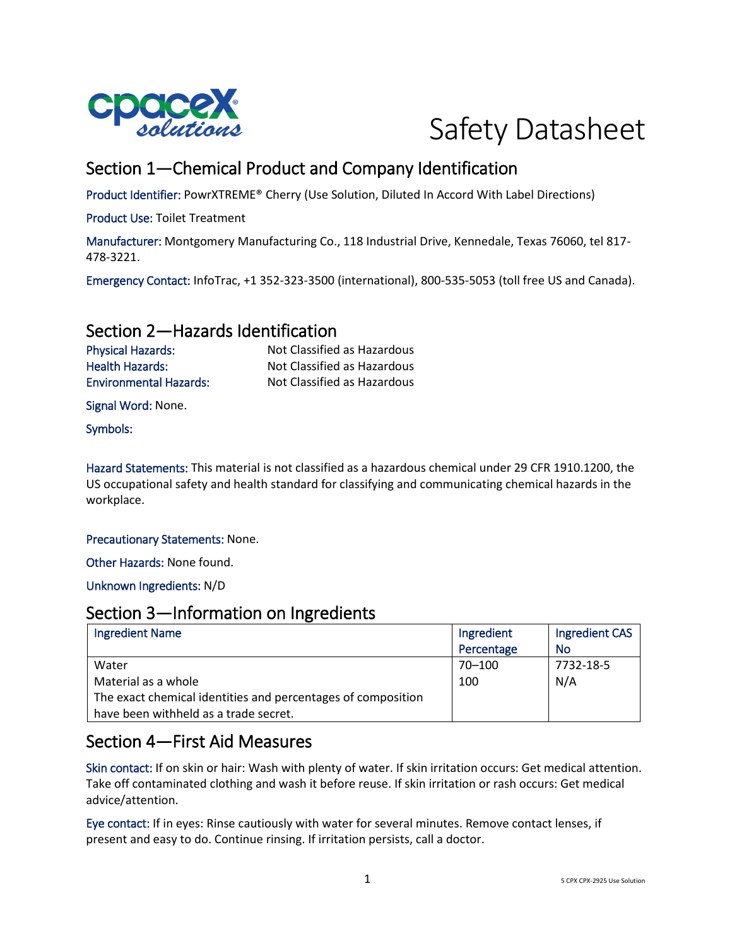



# Section 1—Chemical Product and Company Identification

Product Identifier: PowrXTREME® Cherry (Use Solution, Diluted In Accord With Label Directions)

Product Use: Toilet Treatment

Manufacturer: Montgomery Manufacturing Co., 118 Industrial Drive, Kennedale, Texas 76060, tel 817- 478-3221.

Emergency Contact: InfoTrac, +1 352-323-3500 (international), 800-535-5053 (toll free US and Canada).

## Section 2—Hazards Identification

Health Hazards: Not Classified as Hazardous Environmental Hazards: Not Classified as Hazardous

Physical Hazards: Not Classified as Hazardous

Signal Word: None.

Symbols:

Hazard Statements: This material is not classified as a hazardous chemical under 29 CFR 1910.1200, the US occupational safety and health standard for classifying and communicating chemical hazards in the workplace.

Precautionary Statements: None.

Other Hazards: None found.

Unknown Ingredients: N/D

### Section 3—Information on Ingredients

| <b>Ingredient Name</b>                                       | Ingredient | Ingredient CAS |
|--------------------------------------------------------------|------------|----------------|
|                                                              | Percentage | No             |
| Water                                                        | 70-100     | 7732-18-5      |
| Material as a whole                                          | 100        | N/A            |
| The exact chemical identities and percentages of composition |            |                |
| have been withheld as a trade secret.                        |            |                |

## Section 4—First Aid Measures

Skin contact: If on skin or hair: Wash with plenty of water. If skin irritation occurs: Get medical attention. Take off contaminated clothing and wash it before reuse. If skin irritation or rash occurs: Get medical advice/attention.

Eye contact: If in eyes: Rinse cautiously with water for several minutes. Remove contact lenses, if present and easy to do. Continue rinsing. If irritation persists, call a doctor.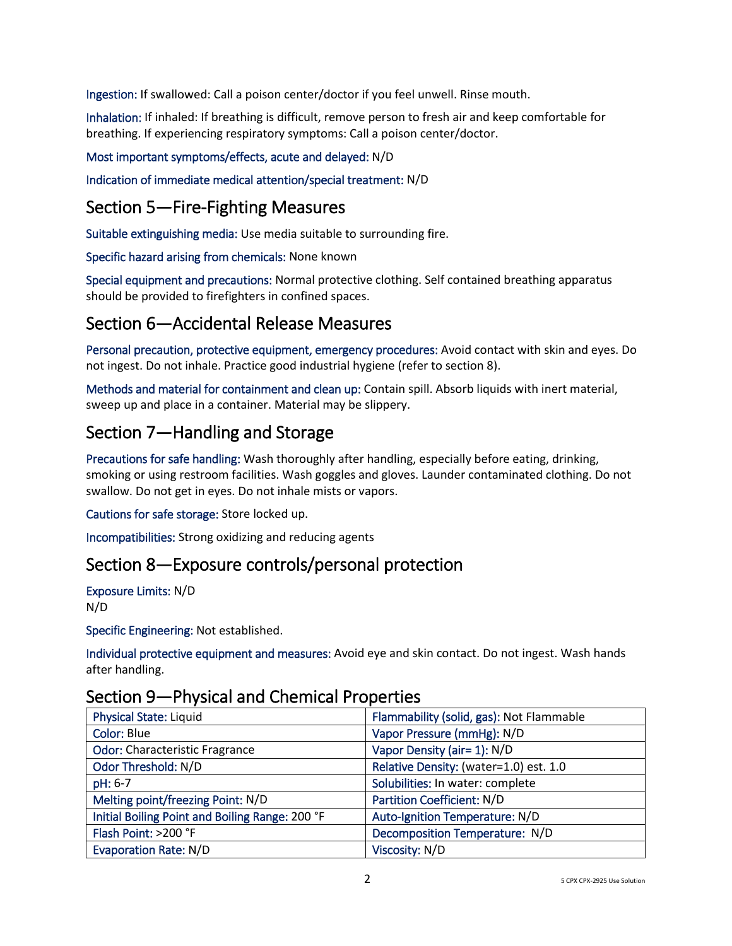Ingestion: If swallowed: Call a poison center/doctor if you feel unwell. Rinse mouth.

Inhalation: If inhaled: If breathing is difficult, remove person to fresh air and keep comfortable for breathing. If experiencing respiratory symptoms: Call a poison center/doctor.

#### Most important symptoms/effects, acute and delayed: N/D

Indication of immediate medical attention/special treatment: N/D

## Section 5—Fire-Fighting Measures

Suitable extinguishing media: Use media suitable to surrounding fire.

Specific hazard arising from chemicals: None known

Special equipment and precautions: Normal protective clothing. Self contained breathing apparatus should be provided to firefighters in confined spaces.

## Section 6—Accidental Release Measures

Personal precaution, protective equipment, emergency procedures: Avoid contact with skin and eyes. Do not ingest. Do not inhale. Practice good industrial hygiene (refer to section 8).

Methods and material for containment and clean up: Contain spill. Absorb liquids with inert material, sweep up and place in a container. Material may be slippery.

# Section 7—Handling and Storage

Precautions for safe handling: Wash thoroughly after handling, especially before eating, drinking, smoking or using restroom facilities. Wash goggles and gloves. Launder contaminated clothing. Do not swallow. Do not get in eyes. Do not inhale mists or vapors.

Cautions for safe storage: Store locked up.

Incompatibilities: Strong oxidizing and reducing agents

## Section 8—Exposure controls/personal protection

Exposure Limits: N/D N/D

Specific Engineering: Not established.

Individual protective equipment and measures: Avoid eye and skin contact. Do not ingest. Wash hands after handling.

### Section 9—Physical and Chemical Properties

| <b>Physical State: Liquid</b>                   | Flammability (solid, gas): Not Flammable |
|-------------------------------------------------|------------------------------------------|
| <b>Color: Blue</b>                              | Vapor Pressure (mmHg): N/D               |
| <b>Odor: Characteristic Fragrance</b>           | Vapor Density (air= 1): N/D              |
| Odor Threshold: N/D                             | Relative Density: (water=1.0) est. 1.0   |
| pH: 6-7                                         | Solubilities: In water: complete         |
| Melting point/freezing Point: N/D               | Partition Coefficient: N/D               |
| Initial Boiling Point and Boiling Range: 200 °F | Auto-Ignition Temperature: N/D           |
| Flash Point: >200 °F                            | Decomposition Temperature: N/D           |
| <b>Evaporation Rate: N/D</b>                    | Viscosity: N/D                           |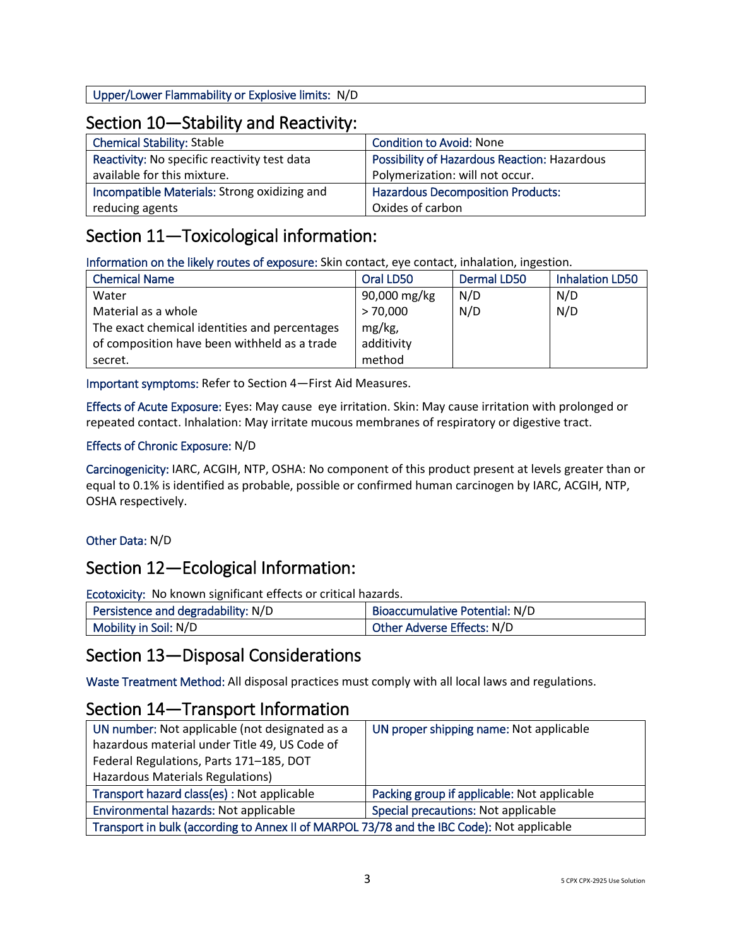Upper/Lower Flammability or Explosive limits: N/D

## Section 10—Stability and Reactivity:

| <b>Chemical Stability: Stable</b>            | <b>Condition to Avoid: None</b>              |
|----------------------------------------------|----------------------------------------------|
| Reactivity: No specific reactivity test data | Possibility of Hazardous Reaction: Hazardous |
| available for this mixture.                  | Polymerization: will not occur.              |
| Incompatible Materials: Strong oxidizing and | <b>Hazardous Decomposition Products:</b>     |
| reducing agents                              | Oxides of carbon                             |

## Section 11—Toxicological information:

Information on the likely routes of exposure: Skin contact, eye contact, inhalation, ingestion.

| <b>Chemical Name</b>                          | Oral LD50    | <b>Dermal LD50</b> | <b>Inhalation LD50</b> |
|-----------------------------------------------|--------------|--------------------|------------------------|
| Water                                         | 90,000 mg/kg | N/D                | N/D                    |
| Material as a whole                           | > 70,000     | N/D                | N/D                    |
| The exact chemical identities and percentages | mg/kg,       |                    |                        |
| of composition have been withheld as a trade  | additivity   |                    |                        |
| secret.                                       | method       |                    |                        |

Important symptoms: Refer to Section 4—First Aid Measures.

Effects of Acute Exposure: Eyes: May cause eye irritation. Skin: May cause irritation with prolonged or repeated contact. Inhalation: May irritate mucous membranes of respiratory or digestive tract.

#### Effects of Chronic Exposure: N/D

Carcinogenicity: IARC, ACGIH, NTP, OSHA: No component of this product present at levels greater than or equal to 0.1% is identified as probable, possible or confirmed human carcinogen by IARC, ACGIH, NTP, OSHA respectively.

#### Other Data: N/D

## Section 12—Ecological Information:

Ecotoxicity: No known significant effects or critical hazards.

| Persistence and degradability: N/D | Bioaccumulative Potential: N/D |
|------------------------------------|--------------------------------|
| Mobility in Soil: N/D              | Other Adverse Effects: N/D     |

## Section 13—Disposal Considerations

Waste Treatment Method: All disposal practices must comply with all local laws and regulations.

## Section 14—Transport Information

| UN number: Not applicable (not designated as a                                             | UN proper shipping name: Not applicable     |  |
|--------------------------------------------------------------------------------------------|---------------------------------------------|--|
| hazardous material under Title 49, US Code of                                              |                                             |  |
| Federal Regulations, Parts 171-185, DOT                                                    |                                             |  |
| Hazardous Materials Regulations)                                                           |                                             |  |
| Transport hazard class(es) : Not applicable                                                | Packing group if applicable: Not applicable |  |
| Environmental hazards: Not applicable                                                      | Special precautions: Not applicable         |  |
| Transport in bulk (according to Annex II of MARPOL 73/78 and the IBC Code): Not applicable |                                             |  |